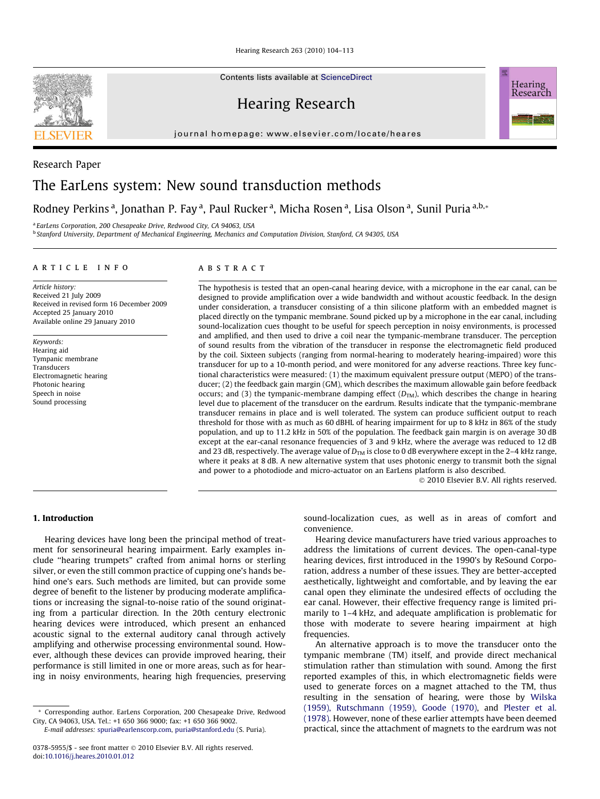Hearing Research 263 (2010) 104–113

Contents lists available at [ScienceDirect](http://www.sciencedirect.com/science/journal/03785955)

Hearing Research

journal homepage: [www.elsevier.com/locate/heares](http://www.elsevier.com/locate/heares)



Rodney Perkins <sup>a</sup>, Jonathan P. Fay <sup>a</sup>, Paul Rucker <sup>a</sup>, Micha Rosen <sup>a</sup>, Lisa Olson <sup>a</sup>, Sunil Puria <sup>a,b,</sup>\*

<sup>a</sup> EarLens Corporation, 200 Chesapeake Drive, Redwood City, CA 94063, USA

<sup>b</sup> Stanford University, Department of Mechanical Engineering, Mechanics and Computation Division, Stanford, CA 94305, USA

# article info

Article history: Received 21 July 2009 Received in revised form 16 December 2009 Accepted 25 January 2010 Available online 29 January 2010

Keywords: Hearing aid Tympanic membrane **Transducers** Electromagnetic hearing Photonic hearing Speech in noise Sound processing

## **ABSTRACT**

The hypothesis is tested that an open-canal hearing device, with a microphone in the ear canal, can be designed to provide amplification over a wide bandwidth and without acoustic feedback. In the design under consideration, a transducer consisting of a thin silicone platform with an embedded magnet is placed directly on the tympanic membrane. Sound picked up by a microphone in the ear canal, including sound-localization cues thought to be useful for speech perception in noisy environments, is processed and amplified, and then used to drive a coil near the tympanic-membrane transducer. The perception of sound results from the vibration of the transducer in response the electromagnetic field produced by the coil. Sixteen subjects (ranging from normal-hearing to moderately hearing-impaired) wore this transducer for up to a 10-month period, and were monitored for any adverse reactions. Three key functional characteristics were measured: (1) the maximum equivalent pressure output (MEPO) of the transducer; (2) the feedback gain margin (GM), which describes the maximum allowable gain before feedback occurs; and (3) the tympanic-membrane damping effect  $(D<sub>TM</sub>)$ , which describes the change in hearing level due to placement of the transducer on the eardrum. Results indicate that the tympanic-membrane transducer remains in place and is well tolerated. The system can produce sufficient output to reach threshold for those with as much as 60 dBHL of hearing impairment for up to 8 kHz in 86% of the study population, and up to 11.2 kHz in 50% of the population. The feedback gain margin is on average 30 dB except at the ear-canal resonance frequencies of 3 and 9 kHz, where the average was reduced to 12 dB and 23 dB, respectively. The average value of  $D_{TM}$  is close to 0 dB everywhere except in the 2–4 kHz range, where it peaks at 8 dB. A new alternative system that uses photonic energy to transmit both the signal and power to a photodiode and micro-actuator on an EarLens platform is also described.

- 2010 Elsevier B.V. All rights reserved.

Hearing Research

# 1. Introduction

Hearing devices have long been the principal method of treatment for sensorineural hearing impairment. Early examples include ''hearing trumpets" crafted from animal horns or sterling silver, or even the still common practice of cupping one's hands behind one's ears. Such methods are limited, but can provide some degree of benefit to the listener by producing moderate amplifications or increasing the signal-to-noise ratio of the sound originating from a particular direction. In the 20th century electronic hearing devices were introduced, which present an enhanced acoustic signal to the external auditory canal through actively amplifying and otherwise processing environmental sound. However, although these devices can provide improved hearing, their performance is still limited in one or more areas, such as for hearing in noisy environments, hearing high frequencies, preserving sound-localization cues, as well as in areas of comfort and convenience.

Hearing device manufacturers have tried various approaches to address the limitations of current devices. The open-canal-type hearing devices, first introduced in the 1990's by ReSound Corporation, address a number of these issues. They are better-accepted aesthetically, lightweight and comfortable, and by leaving the ear canal open they eliminate the undesired effects of occluding the ear canal. However, their effective frequency range is limited primarily to 1–4 kHz, and adequate amplification is problematic for those with moderate to severe hearing impairment at high frequencies.

An alternative approach is to move the transducer onto the tympanic membrane (TM) itself, and provide direct mechanical stimulation rather than stimulation with sound. Among the first reported examples of this, in which electromagnetic fields were used to generate forces on a magnet attached to the TM, thus resulting in the sensation of hearing, were those by [Wilska](#page-9-0) [\(1959\), Rutschmann \(1959\), Goode \(1970\),](#page-9-0) and [Plester et al.](#page-9-0) [\(1978\).](#page-9-0) However, none of these earlier attempts have been deemed practical, since the attachment of magnets to the eardrum was not



<sup>\*</sup> Corresponding author. EarLens Corporation, 200 Chesapeake Drive, Redwood City, CA 94063, USA. Tel.: +1 650 366 9000; fax: +1 650 366 9002.

E-mail addresses: [spuria@earlenscorp.com](mailto:spuria@earlenscorp.com), [puria@stanford.edu](mailto:puria@stanford.edu) (S. Puria).

<sup>0378-5955/\$ -</sup> see front matter © 2010 Elsevier B.V. All rights reserved. doi:[10.1016/j.heares.2010.01.012](http://dx.doi.org/10.1016/j.heares.2010.01.012)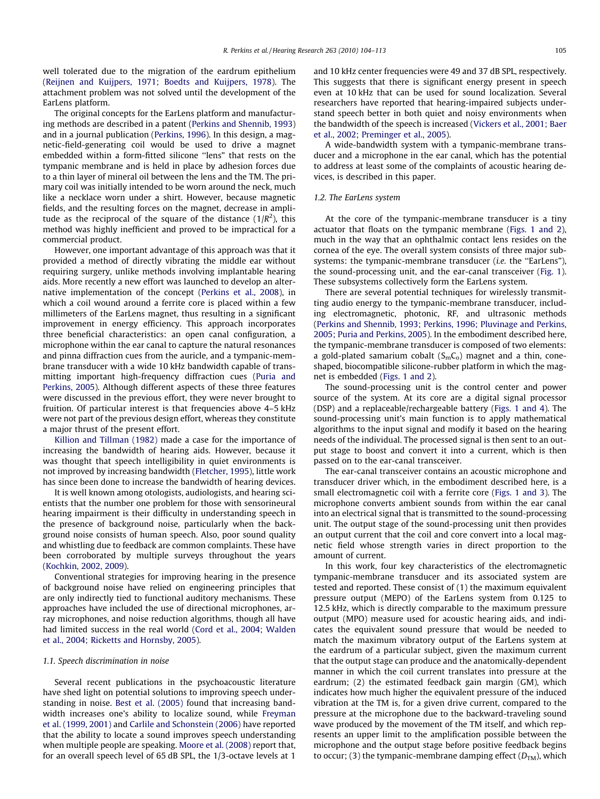well tolerated due to the migration of the eardrum epithelium ([Reijnen and Kuijpers, 1971; Boedts and Kuijpers, 1978\)](#page-9-0). The attachment problem was not solved until the development of the EarLens platform.

The original concepts for the EarLens platform and manufacturing methods are described in a patent ([Perkins and Shennib, 1993\)](#page-9-0) and in a journal publication [\(Perkins, 1996](#page-9-0)). In this design, a magnetic-field-generating coil would be used to drive a magnet embedded within a form-fitted silicone ''lens" that rests on the tympanic membrane and is held in place by adhesion forces due to a thin layer of mineral oil between the lens and the TM. The primary coil was initially intended to be worn around the neck, much like a necklace worn under a shirt. However, because magnetic fields, and the resulting forces on the magnet, decrease in amplitude as the reciprocal of the square of the distance  $(1/R<sup>2</sup>)$ , this method was highly inefficient and proved to be impractical for a commercial product.

However, one important advantage of this approach was that it provided a method of directly vibrating the middle ear without requiring surgery, unlike methods involving implantable hearing aids. More recently a new effort was launched to develop an alternative implementation of the concept ([Perkins et al., 2008](#page-9-0)), in which a coil wound around a ferrite core is placed within a few millimeters of the EarLens magnet, thus resulting in a significant improvement in energy efficiency. This approach incorporates three beneficial characteristics: an open canal configuration, a microphone within the ear canal to capture the natural resonances and pinna diffraction cues from the auricle, and a tympanic-membrane transducer with a wide 10 kHz bandwidth capable of transmitting important high-frequency diffraction cues [\(Puria and](#page-9-0) [Perkins, 2005](#page-9-0)). Although different aspects of these three features were discussed in the previous effort, they were never brought to fruition. Of particular interest is that frequencies above 4–5 kHz were not part of the previous design effort, whereas they constitute a major thrust of the present effort.

[Killion and Tillman \(1982\)](#page-9-0) made a case for the importance of increasing the bandwidth of hearing aids. However, because it was thought that speech intelligibility in quiet environments is not improved by increasing bandwidth ([Fletcher, 1995](#page-8-0)), little work has since been done to increase the bandwidth of hearing devices.

It is well known among otologists, audiologists, and hearing scientists that the number one problem for those with sensorineural hearing impairment is their difficulty in understanding speech in the presence of background noise, particularly when the background noise consists of human speech. Also, poor sound quality and whistling due to feedback are common complaints. These have been corroborated by multiple surveys throughout the years ([Kochkin, 2002, 2009](#page-9-0)).

Conventional strategies for improving hearing in the presence of background noise have relied on engineering principles that are only indirectly tied to functional auditory mechanisms. These approaches have included the use of directional microphones, array microphones, and noise reduction algorithms, though all have had limited success in the real world ([Cord et al., 2004; Walden](#page-8-0) [et al., 2004; Ricketts and Hornsby, 2005\)](#page-8-0).

#### 1.1. Speech discrimination in noise

Several recent publications in the psychoacoustic literature have shed light on potential solutions to improving speech understanding in noise. [Best et al. \(2005\)](#page-8-0) found that increasing bandwidth increases one's ability to localize sound, while [Freyman](#page-9-0) [et al. \(1999, 2001\)](#page-9-0) and [Carlile and Schonstein \(2006\)](#page-8-0) have reported that the ability to locate a sound improves speech understanding when multiple people are speaking. [Moore et al. \(2008\)](#page-9-0) report that, for an overall speech level of 65 dB SPL, the 1/3-octave levels at 1 and 10 kHz center frequencies were 49 and 37 dB SPL, respectively. This suggests that there is significant energy present in speech even at 10 kHz that can be used for sound localization. Several researchers have reported that hearing-impaired subjects understand speech better in both quiet and noisy environments when the bandwidth of the speech is increased [\(Vickers et al., 2001; Baer](#page-9-0) [et al., 2002; Preminger et al., 2005](#page-9-0)).

A wide-bandwidth system with a tympanic-membrane transducer and a microphone in the ear canal, which has the potential to address at least some of the complaints of acoustic hearing devices, is described in this paper.

# 1.2. The EarLens system

At the core of the tympanic-membrane transducer is a tiny actuator that floats on the tympanic membrane [\(Figs. 1 and 2\)](#page-2-0), much in the way that an ophthalmic contact lens resides on the cornea of the eye. The overall system consists of three major subsystems: the tympanic-membrane transducer (*i.e.* the "EarLens"), the sound-processing unit, and the ear-canal transceiver ([Fig. 1\)](#page-2-0). These subsystems collectively form the EarLens system.

There are several potential techniques for wirelessly transmitting audio energy to the tympanic-membrane transducer, including electromagnetic, photonic, RF, and ultrasonic methods ([Perkins and Shennib, 1993; Perkins, 1996; Pluvinage and Perkins,](#page-9-0) [2005; Puria and Perkins, 2005\)](#page-9-0). In the embodiment described here, the tympanic-membrane transducer is composed of two elements: a gold-plated samarium cobalt  $(S_mC_o)$  magnet and a thin, coneshaped, biocompatible silicone-rubber platform in which the magnet is embedded ([Figs. 1 and 2\)](#page-2-0).

The sound-processing unit is the control center and power source of the system. At its core are a digital signal processor (DSP) and a replaceable/rechargeable battery ([Figs. 1 and 4\)](#page-2-0). The sound-processing unit's main function is to apply mathematical algorithms to the input signal and modify it based on the hearing needs of the individual. The processed signal is then sent to an output stage to boost and convert it into a current, which is then passed on to the ear-canal transceiver.

The ear-canal transceiver contains an acoustic microphone and transducer driver which, in the embodiment described here, is a small electromagnetic coil with a ferrite core ([Figs. 1 and 3\)](#page-2-0). The microphone converts ambient sounds from within the ear canal into an electrical signal that is transmitted to the sound-processing unit. The output stage of the sound-processing unit then provides an output current that the coil and core convert into a local magnetic field whose strength varies in direct proportion to the amount of current.

In this work, four key characteristics of the electromagnetic tympanic-membrane transducer and its associated system are tested and reported. These consist of (1) the maximum equivalent pressure output (MEPO) of the EarLens system from 0.125 to 12.5 kHz, which is directly comparable to the maximum pressure output (MPO) measure used for acoustic hearing aids, and indicates the equivalent sound pressure that would be needed to match the maximum vibratory output of the EarLens system at the eardrum of a particular subject, given the maximum current that the output stage can produce and the anatomically-dependent manner in which the coil current translates into pressure at the eardrum; (2) the estimated feedback gain margin (GM), which indicates how much higher the equivalent pressure of the induced vibration at the TM is, for a given drive current, compared to the pressure at the microphone due to the backward-traveling sound wave produced by the movement of the TM itself, and which represents an upper limit to the amplification possible between the microphone and the output stage before positive feedback begins to occur; (3) the tympanic-membrane damping effect ( $D_{TM}$ ), which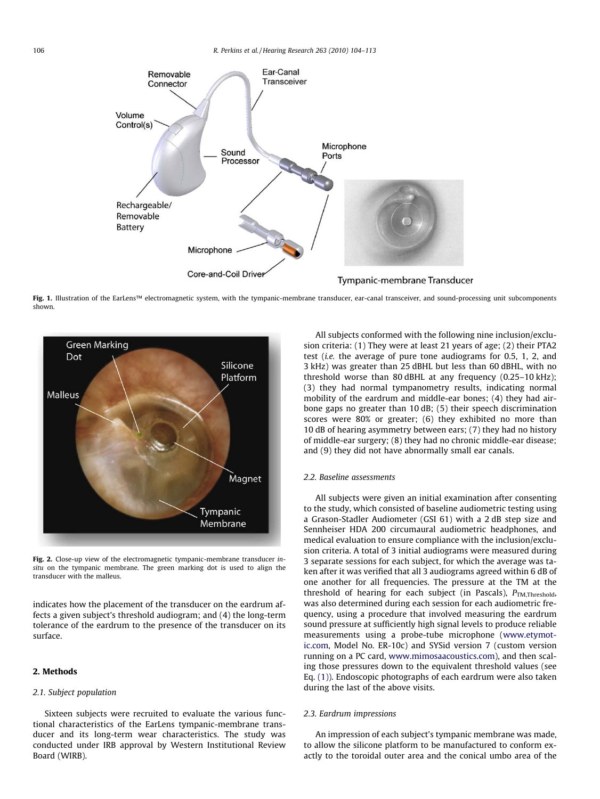<span id="page-2-0"></span>

Fig. 1. Illustration of the EarLens™ electromagnetic system, with the tympanic-membrane transducer, ear-canal transceiver, and sound-processing unit subcomponents shown.



Fig. 2. Close-up view of the electromagnetic tympanic-membrane transducer insitu on the tympanic membrane. The green marking dot is used to align the transducer with the malleus.

indicates how the placement of the transducer on the eardrum affects a given subject's threshold audiogram; and (4) the long-term tolerance of the eardrum to the presence of the transducer on its surface.

# 2. Methods

## 2.1. Subject population

Sixteen subjects were recruited to evaluate the various functional characteristics of the EarLens tympanic-membrane transducer and its long-term wear characteristics. The study was conducted under IRB approval by Western Institutional Review Board (WIRB).

All subjects conformed with the following nine inclusion/exclusion criteria: (1) They were at least 21 years of age; (2) their PTA2 test (i.e. the average of pure tone audiograms for 0.5, 1, 2, and 3 kHz) was greater than 25 dBHL but less than 60 dBHL, with no threshold worse than 80 dBHL at any frequency (0.25–10 kHz); (3) they had normal tympanometry results, indicating normal mobility of the eardrum and middle-ear bones; (4) they had airbone gaps no greater than 10 dB; (5) their speech discrimination scores were 80% or greater; (6) they exhibited no more than 10 dB of hearing asymmetry between ears; (7) they had no history of middle-ear surgery; (8) they had no chronic middle-ear disease; and (9) they did not have abnormally small ear canals.

#### 2.2. Baseline assessments

All subjects were given an initial examination after consenting to the study, which consisted of baseline audiometric testing using a Grason-Stadler Audiometer (GSI 61) with a 2 dB step size and Sennheiser HDA 200 circumaural audiometric headphones, and medical evaluation to ensure compliance with the inclusion/exclusion criteria. A total of 3 initial audiograms were measured during 3 separate sessions for each subject, for which the average was taken after it was verified that all 3 audiograms agreed within 6 dB of one another for all frequencies. The pressure at the TM at the threshold of hearing for each subject (in Pascals),  $P_{\text{TM}.Threshold}$ , was also determined during each session for each audiometric frequency, using a procedure that involved measuring the eardrum sound pressure at sufficiently high signal levels to produce reliable measurements using a probe-tube microphone ([www.etymot](http://www.etymotic.com)[ic.com](http://www.etymotic.com), Model No. ER-10c) and SYSid version 7 (custom version running on a PC card, [www.mimosaacoustics.com](http://www.mimosaacoustics.com)), and then scaling those pressures down to the equivalent threshold values (see Eq. [\(1\)](#page-4-0)). Endoscopic photographs of each eardrum were also taken during the last of the above visits.

### 2.3. Eardrum impressions

An impression of each subject's tympanic membrane was made, to allow the silicone platform to be manufactured to conform exactly to the toroidal outer area and the conical umbo area of the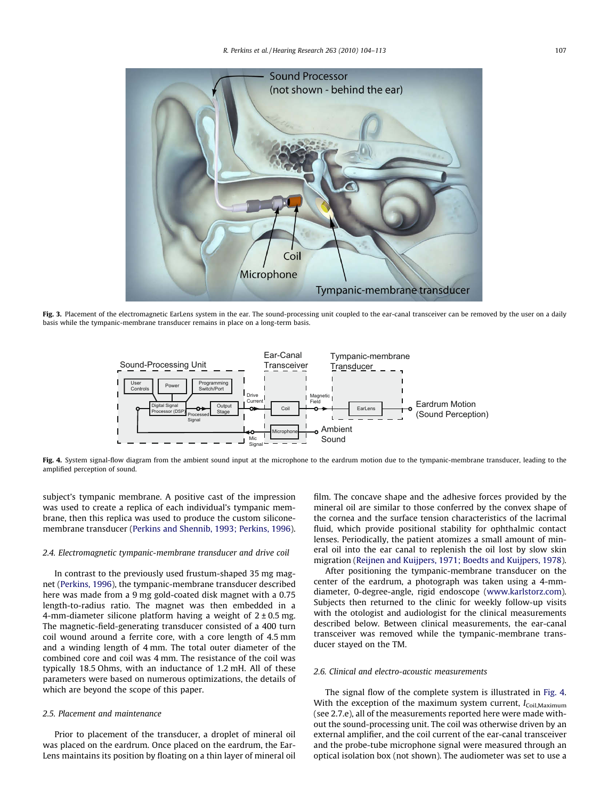

Fig. 3. Placement of the electromagnetic EarLens system in the ear. The sound-processing unit coupled to the ear-canal transceiver can be removed by the user on a daily basis while the tympanic-membrane transducer remains in place on a long-term basis.



Fig. 4. System signal-flow diagram from the ambient sound input at the microphone to the eardrum motion due to the tympanic-membrane transducer, leading to the amplified perception of sound.

subject's tympanic membrane. A positive cast of the impression was used to create a replica of each individual's tympanic membrane, then this replica was used to produce the custom siliconemembrane transducer ([Perkins and Shennib, 1993; Perkins, 1996\)](#page-9-0).

# 2.4. Electromagnetic tympanic-membrane transducer and drive coil

In contrast to the previously used frustum-shaped 35 mg magnet [\(Perkins, 1996\)](#page-9-0), the tympanic-membrane transducer described here was made from a 9 mg gold-coated disk magnet with a 0.75 length-to-radius ratio. The magnet was then embedded in a 4-mm-diameter silicone platform having a weight of  $2 \pm 0.5$  mg. The magnetic-field-generating transducer consisted of a 400 turn coil wound around a ferrite core, with a core length of 4.5 mm and a winding length of 4 mm. The total outer diameter of the combined core and coil was 4 mm. The resistance of the coil was typically 18.5 Ohms, with an inductance of 1.2 mH. All of these parameters were based on numerous optimizations, the details of which are beyond the scope of this paper.

# 2.5. Placement and maintenance

Prior to placement of the transducer, a droplet of mineral oil was placed on the eardrum. Once placed on the eardrum, the Ear-Lens maintains its position by floating on a thin layer of mineral oil film. The concave shape and the adhesive forces provided by the mineral oil are similar to those conferred by the convex shape of the cornea and the surface tension characteristics of the lacrimal fluid, which provide positional stability for ophthalmic contact lenses. Periodically, the patient atomizes a small amount of mineral oil into the ear canal to replenish the oil lost by slow skin migration ([Reijnen and Kuijpers, 1971; Boedts and Kuijpers, 1978\)](#page-9-0).

After positioning the tympanic-membrane transducer on the center of the eardrum, a photograph was taken using a 4-mmdiameter, 0-degree-angle, rigid endoscope [\(www.karlstorz.com\)](http://www.karlstorz.com). Subjects then returned to the clinic for weekly follow-up visits with the otologist and audiologist for the clinical measurements described below. Between clinical measurements, the ear-canal transceiver was removed while the tympanic-membrane transducer stayed on the TM.

#### 2.6. Clinical and electro-acoustic measurements

The signal flow of the complete system is illustrated in Fig. 4. With the exception of the maximum system current,  $I_{\text{Coil,Maximum}}$ (see 2.7.e), all of the measurements reported here were made without the sound-processing unit. The coil was otherwise driven by an external amplifier, and the coil current of the ear-canal transceiver and the probe-tube microphone signal were measured through an optical isolation box (not shown). The audiometer was set to use a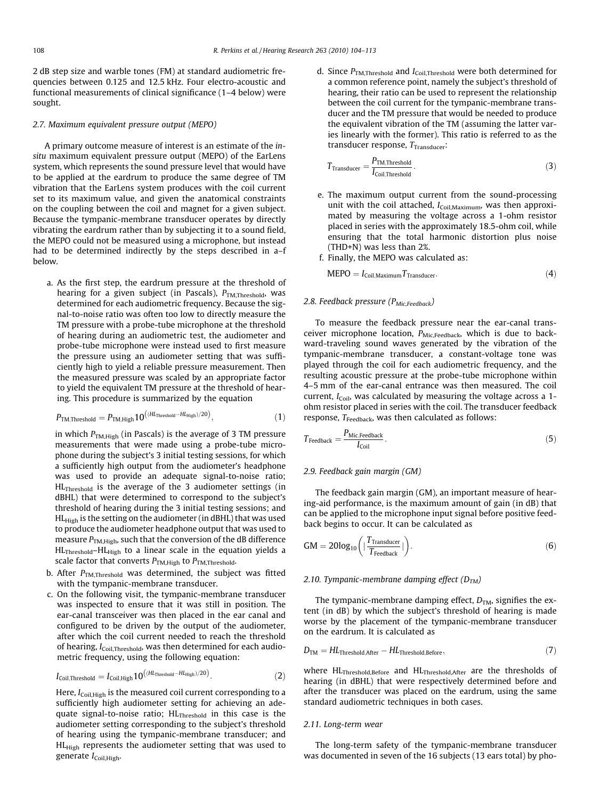<span id="page-4-0"></span>2 dB step size and warble tones (FM) at standard audiometric frequencies between 0.125 and 12.5 kHz. Four electro-acoustic and functional measurements of clinical significance (1–4 below) were sought.

### 2.7. Maximum equivalent pressure output (MEPO)

A primary outcome measure of interest is an estimate of the insitu maximum equivalent pressure output (MEPO) of the EarLens system, which represents the sound pressure level that would have to be applied at the eardrum to produce the same degree of TM vibration that the EarLens system produces with the coil current set to its maximum value, and given the anatomical constraints on the coupling between the coil and magnet for a given subject. Because the tympanic-membrane transducer operates by directly vibrating the eardrum rather than by subjecting it to a sound field, the MEPO could not be measured using a microphone, but instead had to be determined indirectly by the steps described in a–f below.

a. As the first step, the eardrum pressure at the threshold of hearing for a given subject (in Pascals),  $P_{\text{TM},\text{Threshold}}$ , was determined for each audiometric frequency. Because the signal-to-noise ratio was often too low to directly measure the TM pressure with a probe-tube microphone at the threshold of hearing during an audiometric test, the audiometer and probe-tube microphone were instead used to first measure the pressure using an audiometer setting that was sufficiently high to yield a reliable pressure measurement. Then the measured pressure was scaled by an appropriate factor to yield the equivalent TM pressure at the threshold of hearing. This procedure is summarized by the equation

$$
P_{\text{TM},\text{Threshold}} = P_{\text{TM},\text{High}} 10^{\left((\text{HL}_{\text{Threshold}} - \text{HL}_{\text{High}})/20\right)},\tag{1}
$$

in which  $P_{\text{TM,High}}$  (in Pascals) is the average of 3 TM pressure measurements that were made using a probe-tube microphone during the subject's 3 initial testing sessions, for which a sufficiently high output from the audiometer's headphone was used to provide an adequate signal-to-noise ratio; HLThreshold is the average of the 3 audiometer settings (in dBHL) that were determined to correspond to the subject's threshold of hearing during the 3 initial testing sessions; and  $HL_{High}$  is the setting on the audiometer (in dBHL) that was used to produce the audiometer headphone output that was used to measure  $P_{\text{TM,High}}$ , such that the conversion of the dB difference HL<sub>Threshold</sub>–HL<sub>High</sub> to a linear scale in the equation yields a scale factor that converts  $P_{TM,High}$  to  $P_{TM,Threshold}$ .

- b. After  $P_{\text{TM},\text{Threshold}}$  was determined, the subject was fitted with the tympanic-membrane transducer.
- c. On the following visit, the tympanic-membrane transducer was inspected to ensure that it was still in position. The ear-canal transceiver was then placed in the ear canal and configured to be driven by the output of the audiometer, after which the coil current needed to reach the threshold of hearing,  $I_{\text{Coil},\text{Threshold}}$ , was then determined for each audiometric frequency, using the following equation:

$$
I_{\text{Coil},\text{Threshold}} = I_{\text{Coil},\text{High}} 10^{\left((HL_{\text{Threshold}} - HL_{\text{High}})/20\right)}.\tag{2}
$$

Here,  $I_{\text{Coil,High}}$  is the measured coil current corresponding to a sufficiently high audiometer setting for achieving an adequate signal-to-noise ratio; HLThreshold in this case is the audiometer setting corresponding to the subject's threshold of hearing using the tympanic-membrane transducer; and HLHigh represents the audiometer setting that was used to generate  $I_{\text{Coil},\text{High}}$ .

d. Since  $P_{\text{TM.Threshold}}$  and  $I_{\text{Coil.Threshold}}$  were both determined for a common reference point, namely the subject's threshold of hearing, their ratio can be used to represent the relationship between the coil current for the tympanic-membrane transducer and the TM pressure that would be needed to produce the equivalent vibration of the TM (assuming the latter varies linearly with the former). This ratio is referred to as the transducer response,  $T_{\text{Transducer}}$ :

$$
T_{\text{Transducer}} = \frac{P_{\text{TM},\text{Threshold}}}{I_{\text{Coil},\text{Threshold}}}. \tag{3}
$$

- e. The maximum output current from the sound-processing unit with the coil attached,  $I_{\text{Coil,Maximum}}$ , was then approximated by measuring the voltage across a 1-ohm resistor placed in series with the approximately 18.5-ohm coil, while ensuring that the total harmonic distortion plus noise (THD+N) was less than 2%.
- f. Finally, the MEPO was calculated as:

$$
MEPO = I_{\text{coil},\text{Maximum}}T_{\text{Transducer}}.\tag{4}
$$

# 2.8. Feedback pressure  $(P_{\text{Micro{}Feedback}})$

To measure the feedback pressure near the ear-canal transceiver microphone location, P<sub>Mic,Feedback</sub>, which is due to backward-traveling sound waves generated by the vibration of the tympanic-membrane transducer, a constant-voltage tone was played through the coil for each audiometric frequency, and the resulting acoustic pressure at the probe-tube microphone within 4–5 mm of the ear-canal entrance was then measured. The coil current,  $I_{\text{Coil}}$ , was calculated by measuring the voltage across a 1ohm resistor placed in series with the coil. The transducer feedback response,  $T_{\text{feedback}}$ , was then calculated as follows:

$$
T_{\text{feedback}} = \frac{P_{\text{Mic,feedback}}}{I_{\text{coil}}}.\tag{5}
$$

# 2.9. Feedback gain margin (GM)

The feedback gain margin (GM), an important measure of hearing-aid performance, is the maximum amount of gain (in dB) that can be applied to the microphone input signal before positive feedback begins to occur. It can be calculated as

$$
GM = 20log_{10}\left(|\frac{T_{\text{Transducer}}}{T_{\text{feedback}}}| \right). \tag{6}
$$

#### 2.10. Tympanic-membrane damping effect  $(D_{TM})$

The tympanic-membrane damping effect,  $D_{TM}$ , signifies the extent (in dB) by which the subject's threshold of hearing is made worse by the placement of the tympanic-membrane transducer on the eardrum. It is calculated as

$$
D_{\text{TM}} = HL_{\text{Threshold},\text{After}} - HL_{\text{Threshold},\text{Before}},\tag{7}
$$

where HL<sub>Threshold,Before</sub> and HL<sub>Threshold,After</sub> are the thresholds of hearing (in dBHL) that were respectively determined before and after the transducer was placed on the eardrum, using the same standard audiometric techniques in both cases.

#### 2.11. Long-term wear

The long-term safety of the tympanic-membrane transducer was documented in seven of the 16 subjects (13 ears total) by pho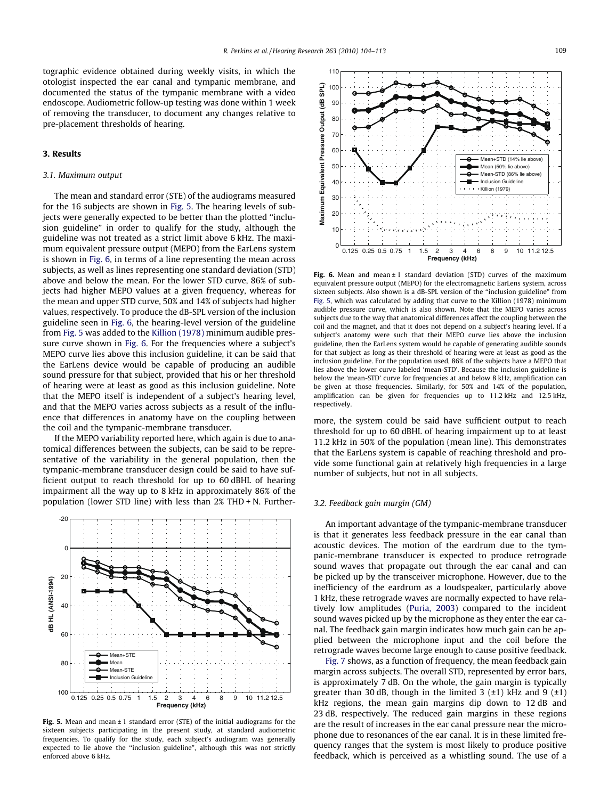<span id="page-5-0"></span>tographic evidence obtained during weekly visits, in which the otologist inspected the ear canal and tympanic membrane, and documented the status of the tympanic membrane with a video endoscope. Audiometric follow-up testing was done within 1 week of removing the transducer, to document any changes relative to pre-placement thresholds of hearing.

# 3. Results

## 3.1. Maximum output

The mean and standard error (STE) of the audiograms measured for the 16 subjects are shown in Fig. 5. The hearing levels of subjects were generally expected to be better than the plotted ''inclusion guideline" in order to qualify for the study, although the guideline was not treated as a strict limit above 6 kHz. The maximum equivalent pressure output (MEPO) from the EarLens system is shown in Fig. 6, in terms of a line representing the mean across subjects, as well as lines representing one standard deviation (STD) above and below the mean. For the lower STD curve, 86% of subjects had higher MEPO values at a given frequency, whereas for the mean and upper STD curve, 50% and 14% of subjects had higher values, respectively. To produce the dB-SPL version of the inclusion guideline seen in Fig. 6, the hearing-level version of the guideline from Fig. 5 was added to the [Killion \(1978\)](#page-9-0) minimum audible pressure curve shown in Fig. 6. For the frequencies where a subject's MEPO curve lies above this inclusion guideline, it can be said that the EarLens device would be capable of producing an audible sound pressure for that subject, provided that his or her threshold of hearing were at least as good as this inclusion guideline. Note that the MEPO itself is independent of a subject's hearing level, and that the MEPO varies across subjects as a result of the influence that differences in anatomy have on the coupling between the coil and the tympanic-membrane transducer.

If the MEPO variability reported here, which again is due to anatomical differences between the subjects, can be said to be representative of the variability in the general population, then the tympanic-membrane transducer design could be said to have sufficient output to reach threshold for up to 60 dBHL of hearing impairment all the way up to 8 kHz in approximately 86% of the population (lower STD line) with less than 2% THD + N. Further-



Fig. 5. Mean and mean  $\pm$  1 standard error (STE) of the initial audiograms for the sixteen subjects participating in the present study, at standard audiometric frequencies. To qualify for the study, each subject's audiogram was generally expected to lie above the ''inclusion guideline", although this was not strictly enforced above 6 kHz.



Fig. 6. Mean and mean  $\pm 1$  standard deviation (STD) curves of the maximum equivalent pressure output (MEPO) for the electromagnetic EarLens system, across sixteen subjects. Also shown is a dB-SPL version of the ''inclusion guideline" from Fig. 5, which was calculated by adding that curve to the Killion (1978) minimum audible pressure curve, which is also shown. Note that the MEPO varies across subjects due to the way that anatomical differences affect the coupling between the coil and the magnet, and that it does not depend on a subject's hearing level. If a subject's anatomy were such that their MEPO curve lies above the inclusion guideline, then the EarLens system would be capable of generating audible sounds for that subject as long as their threshold of hearing were at least as good as the inclusion guideline. For the population used, 86% of the subjects have a MEPO that lies above the lower curve labeled 'mean-STD'. Because the inclusion guideline is below the 'mean-STD' curve for frequencies at and below 8 kHz, amplification can be given at those frequencies. Similarly, for 50% and 14% of the population, amplification can be given for frequencies up to 11.2 kHz and 12.5 kHz, respectively.

more, the system could be said have sufficient output to reach threshold for up to 60 dBHL of hearing impairment up to at least 11.2 kHz in 50% of the population (mean line). This demonstrates that the EarLens system is capable of reaching threshold and provide some functional gain at relatively high frequencies in a large number of subjects, but not in all subjects.

# 3.2. Feedback gain margin (GM)

An important advantage of the tympanic-membrane transducer is that it generates less feedback pressure in the ear canal than acoustic devices. The motion of the eardrum due to the tympanic-membrane transducer is expected to produce retrograde sound waves that propagate out through the ear canal and can be picked up by the transceiver microphone. However, due to the inefficiency of the eardrum as a loudspeaker, particularly above 1 kHz, these retrograde waves are normally expected to have relatively low amplitudes ([Puria, 2003\)](#page-9-0) compared to the incident sound waves picked up by the microphone as they enter the ear canal. The feedback gain margin indicates how much gain can be applied between the microphone input and the coil before the retrograde waves become large enough to cause positive feedback.

[Fig. 7](#page-6-0) shows, as a function of frequency, the mean feedback gain margin across subjects. The overall STD, represented by error bars, is approximately 7 dB. On the whole, the gain margin is typically greater than 30 dB, though in the limited 3  $(\pm 1)$  kHz and 9  $(\pm 1)$ kHz regions, the mean gain margins dip down to 12 dB and 23 dB, respectively. The reduced gain margins in these regions are the result of increases in the ear canal pressure near the microphone due to resonances of the ear canal. It is in these limited frequency ranges that the system is most likely to produce positive feedback, which is perceived as a whistling sound. The use of a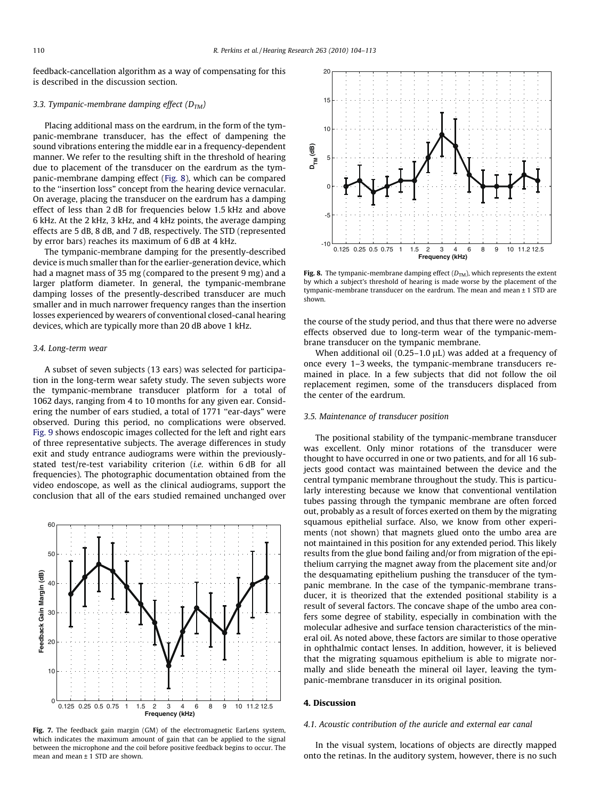<span id="page-6-0"></span>feedback-cancellation algorithm as a way of compensating for this is described in the discussion section.

# 3.3. Tympanic-membrane damping effect  $(D_{TM})$

Placing additional mass on the eardrum, in the form of the tympanic-membrane transducer, has the effect of dampening the sound vibrations entering the middle ear in a frequency-dependent manner. We refer to the resulting shift in the threshold of hearing due to placement of the transducer on the eardrum as the tympanic-membrane damping effect (Fig. 8), which can be compared to the ''insertion loss" concept from the hearing device vernacular. On average, placing the transducer on the eardrum has a damping effect of less than 2 dB for frequencies below 1.5 kHz and above 6 kHz. At the 2 kHz, 3 kHz, and 4 kHz points, the average damping effects are 5 dB, 8 dB, and 7 dB, respectively. The STD (represented by error bars) reaches its maximum of 6 dB at 4 kHz.

The tympanic-membrane damping for the presently-described device is much smaller than for the earlier-generation device, which had a magnet mass of 35 mg (compared to the present 9 mg) and a larger platform diameter. In general, the tympanic-membrane damping losses of the presently-described transducer are much smaller and in much narrower frequency ranges than the insertion losses experienced by wearers of conventional closed-canal hearing devices, which are typically more than 20 dB above 1 kHz.

#### 3.4. Long-term wear

A subset of seven subjects (13 ears) was selected for participation in the long-term wear safety study. The seven subjects wore the tympanic-membrane transducer platform for a total of 1062 days, ranging from 4 to 10 months for any given ear. Considering the number of ears studied, a total of 1771 ''ear-days" were observed. During this period, no complications were observed. [Fig. 9](#page-7-0) shows endoscopic images collected for the left and right ears of three representative subjects. The average differences in study exit and study entrance audiograms were within the previouslystated test/re-test variability criterion (i.e. within 6 dB for all frequencies). The photographic documentation obtained from the video endoscope, as well as the clinical audiograms, support the conclusion that all of the ears studied remained unchanged over



Fig. 7. The feedback gain margin (GM) of the electromagnetic EarLens system, which indicates the maximum amount of gain that can be applied to the signal between the microphone and the coil before positive feedback begins to occur. The mean and mean ± 1 STD are shown.



Fig. 8. The tympanic-membrane damping effect  $(D_{TM})$ , which represents the extent by which a subject's threshold of hearing is made worse by the placement of the tympanic-membrane transducer on the eardrum. The mean and mean  $\pm$  1 STD are shown.

the course of the study period, and thus that there were no adverse effects observed due to long-term wear of the tympanic-membrane transducer on the tympanic membrane.

When additional oil  $(0.25-1.0 \mu L)$  was added at a frequency of once every 1–3 weeks, the tympanic-membrane transducers remained in place. In a few subjects that did not follow the oil replacement regimen, some of the transducers displaced from the center of the eardrum.

### 3.5. Maintenance of transducer position

The positional stability of the tympanic-membrane transducer was excellent. Only minor rotations of the transducer were thought to have occurred in one or two patients, and for all 16 subjects good contact was maintained between the device and the central tympanic membrane throughout the study. This is particularly interesting because we know that conventional ventilation tubes passing through the tympanic membrane are often forced out, probably as a result of forces exerted on them by the migrating squamous epithelial surface. Also, we know from other experiments (not shown) that magnets glued onto the umbo area are not maintained in this position for any extended period. This likely results from the glue bond failing and/or from migration of the epithelium carrying the magnet away from the placement site and/or the desquamating epithelium pushing the transducer of the tympanic membrane. In the case of the tympanic-membrane transducer, it is theorized that the extended positional stability is a result of several factors. The concave shape of the umbo area confers some degree of stability, especially in combination with the molecular adhesive and surface tension characteristics of the mineral oil. As noted above, these factors are similar to those operative in ophthalmic contact lenses. In addition, however, it is believed that the migrating squamous epithelium is able to migrate normally and slide beneath the mineral oil layer, leaving the tympanic-membrane transducer in its original position.

# 4. Discussion

### 4.1. Acoustic contribution of the auricle and external ear canal

In the visual system, locations of objects are directly mapped onto the retinas. In the auditory system, however, there is no such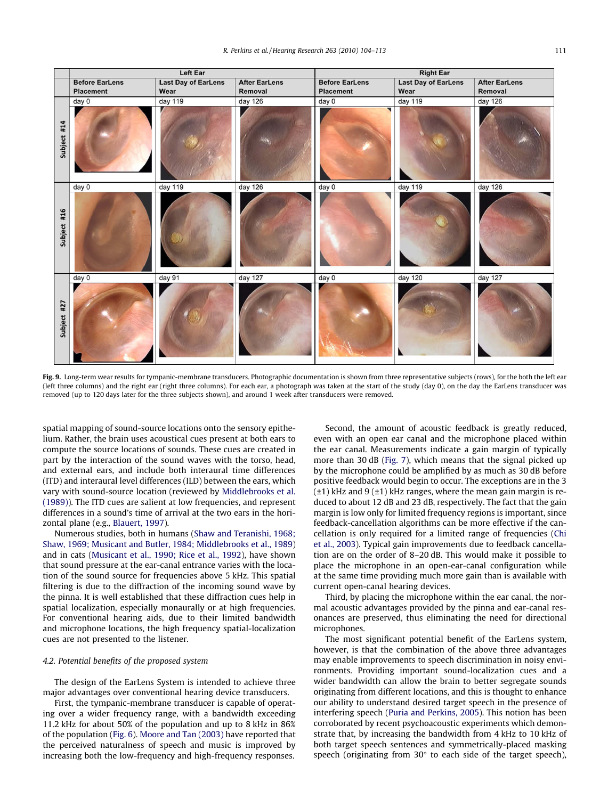<span id="page-7-0"></span>

Fig. 9. Long-term wear results for tympanic-membrane transducers. Photographic documentation is shown from three representative subjects (rows), for the both the left ear (left three columns) and the right ear (right three columns). For each ear, a photograph was taken at the start of the study (day 0), on the day the EarLens transducer was removed (up to 120 days later for the three subjects shown), and around 1 week after transducers were removed.

spatial mapping of sound-source locations onto the sensory epithelium. Rather, the brain uses acoustical cues present at both ears to compute the source locations of sounds. These cues are created in part by the interaction of the sound waves with the torso, head, and external ears, and include both interaural time differences (ITD) and interaural level differences (ILD) between the ears, which vary with sound-source location (reviewed by [Middlebrooks et al.](#page-9-0) [\(1989\)\)](#page-9-0). The ITD cues are salient at low frequencies, and represent differences in a sound's time of arrival at the two ears in the horizontal plane (e.g., [Blauert, 1997\)](#page-8-0).

Numerous studies, both in humans ([Shaw and Teranishi, 1968;](#page-9-0) [Shaw, 1969; Musicant and Butler, 1984; Middlebrooks et al., 1989\)](#page-9-0) and in cats [\(Musicant et al., 1990; Rice et al., 1992\)](#page-9-0), have shown that sound pressure at the ear-canal entrance varies with the location of the sound source for frequencies above 5 kHz. This spatial filtering is due to the diffraction of the incoming sound wave by the pinna. It is well established that these diffraction cues help in spatial localization, especially monaurally or at high frequencies. For conventional hearing aids, due to their limited bandwidth and microphone locations, the high frequency spatial-localization cues are not presented to the listener.

## 4.2. Potential benefits of the proposed system

The design of the EarLens System is intended to achieve three major advantages over conventional hearing device transducers.

First, the tympanic-membrane transducer is capable of operating over a wider frequency range, with a bandwidth exceeding 11.2 kHz for about 50% of the population and up to 8 kHz in 86% of the population [\(Fig. 6\)](#page-5-0). [Moore and Tan \(2003\)](#page-9-0) have reported that the perceived naturalness of speech and music is improved by increasing both the low-frequency and high-frequency responses.

Second, the amount of acoustic feedback is greatly reduced, even with an open ear canal and the microphone placed within the ear canal. Measurements indicate a gain margin of typically more than 30 dB [\(Fig. 7](#page-6-0)), which means that the signal picked up by the microphone could be amplified by as much as 30 dB before positive feedback would begin to occur. The exceptions are in the 3  $(\pm 1)$  kHz and 9  $(\pm 1)$  kHz ranges, where the mean gain margin is reduced to about 12 dB and 23 dB, respectively. The fact that the gain margin is low only for limited frequency regions is important, since feedback-cancellation algorithms can be more effective if the cancellation is only required for a limited range of frequencies [\(Chi](#page-8-0) [et al., 2003](#page-8-0)). Typical gain improvements due to feedback cancellation are on the order of 8–20 dB. This would make it possible to place the microphone in an open-ear-canal configuration while at the same time providing much more gain than is available with current open-canal hearing devices.

Third, by placing the microphone within the ear canal, the normal acoustic advantages provided by the pinna and ear-canal resonances are preserved, thus eliminating the need for directional microphones.

The most significant potential benefit of the EarLens system, however, is that the combination of the above three advantages may enable improvements to speech discrimination in noisy environments. Providing important sound-localization cues and a wider bandwidth can allow the brain to better segregate sounds originating from different locations, and this is thought to enhance our ability to understand desired target speech in the presence of interfering speech ([Puria and Perkins, 2005\)](#page-9-0). This notion has been corroborated by recent psychoacoustic experiments which demonstrate that, by increasing the bandwidth from 4 kHz to 10 kHz of both target speech sentences and symmetrically-placed masking speech (originating from  $30^{\circ}$  to each side of the target speech),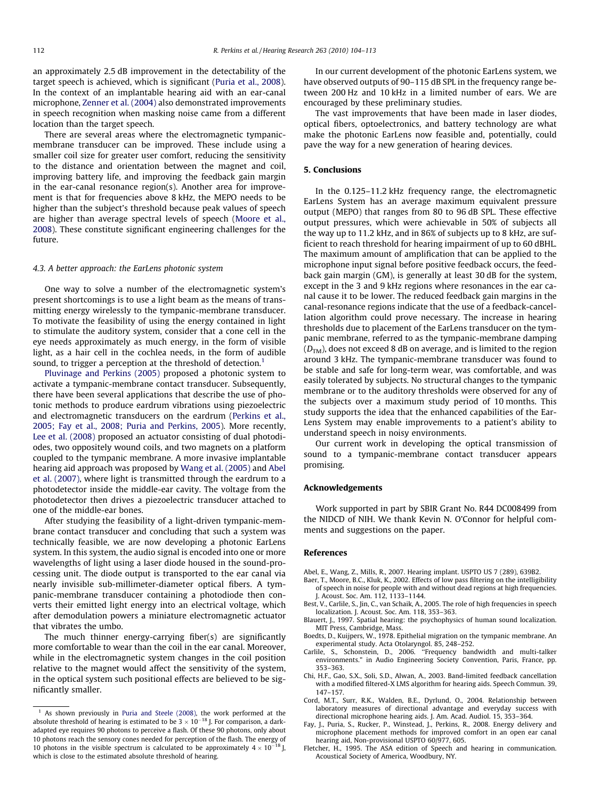<span id="page-8-0"></span>an approximately 2.5 dB improvement in the detectability of the target speech is achieved, which is significant ([Puria et al., 2008\)](#page-9-0). In the context of an implantable hearing aid with an ear-canal microphone, [Zenner et al. \(2004\)](#page-9-0) also demonstrated improvements in speech recognition when masking noise came from a different location than the target speech.

There are several areas where the electromagnetic tympanicmembrane transducer can be improved. These include using a smaller coil size for greater user comfort, reducing the sensitivity to the distance and orientation between the magnet and coil, improving battery life, and improving the feedback gain margin in the ear-canal resonance region(s). Another area for improvement is that for frequencies above 8 kHz, the MEPO needs to be higher than the subject's threshold because peak values of speech are higher than average spectral levels of speech ([Moore et al.,](#page-9-0) [2008\)](#page-9-0). These constitute significant engineering challenges for the future.

#### 4.3. A better approach: the EarLens photonic system

One way to solve a number of the electromagnetic system's present shortcomings is to use a light beam as the means of transmitting energy wirelessly to the tympanic-membrane transducer. To motivate the feasibility of using the energy contained in light to stimulate the auditory system, consider that a cone cell in the eye needs approximately as much energy, in the form of visible light, as a hair cell in the cochlea needs, in the form of audible sound, to trigger a perception at the threshold of detection.<sup>1</sup>

[Pluvinage and Perkins \(2005\)](#page-9-0) proposed a photonic system to activate a tympanic-membrane contact transducer. Subsequently, there have been several applications that describe the use of photonic methods to produce eardrum vibrations using piezoelectric and electromagnetic transducers on the eardrum ([Perkins et al.,](#page-9-0) [2005; Fay et al., 2008; Puria and Perkins, 2005\)](#page-9-0). More recently, [Lee et al. \(2008\)](#page-9-0) proposed an actuator consisting of dual photodiodes, two oppositely wound coils, and two magnets on a platform coupled to the tympanic membrane. A more invasive implantable hearing aid approach was proposed by [Wang et al. \(2005\)](#page-9-0) and Abel et al. (2007), where light is transmitted through the eardrum to a photodetector inside the middle-ear cavity. The voltage from the photodetector then drives a piezoelectric transducer attached to one of the middle-ear bones.

After studying the feasibility of a light-driven tympanic-membrane contact transducer and concluding that such a system was technically feasible, we are now developing a photonic EarLens system. In this system, the audio signal is encoded into one or more wavelengths of light using a laser diode housed in the sound-processing unit. The diode output is transported to the ear canal via nearly invisible sub-millimeter-diameter optical fibers. A tympanic-membrane transducer containing a photodiode then converts their emitted light energy into an electrical voltage, which after demodulation powers a miniature electromagnetic actuator that vibrates the umbo.

The much thinner energy-carrying fiber(s) are significantly more comfortable to wear than the coil in the ear canal. Moreover, while in the electromagnetic system changes in the coil position relative to the magnet would affect the sensitivity of the system, in the optical system such positional effects are believed to be significantly smaller.

In our current development of the photonic EarLens system, we have observed outputs of 90–115 dB SPL in the frequency range between 200 Hz and 10 kHz in a limited number of ears. We are encouraged by these preliminary studies.

The vast improvements that have been made in laser diodes, optical fibers, optoelectronics, and battery technology are what make the photonic EarLens now feasible and, potentially, could pave the way for a new generation of hearing devices.

## 5. Conclusions

In the 0.125–11.2 kHz frequency range, the electromagnetic EarLens System has an average maximum equivalent pressure output (MEPO) that ranges from 80 to 96 dB SPL. These effective output pressures, which were achievable in 50% of subjects all the way up to 11.2 kHz, and in 86% of subjects up to 8 kHz, are sufficient to reach threshold for hearing impairment of up to 60 dBHL. The maximum amount of amplification that can be applied to the microphone input signal before positive feedback occurs, the feedback gain margin (GM), is generally at least 30 dB for the system, except in the 3 and 9 kHz regions where resonances in the ear canal cause it to be lower. The reduced feedback gain margins in the canal-resonance regions indicate that the use of a feedback-cancellation algorithm could prove necessary. The increase in hearing thresholds due to placement of the EarLens transducer on the tympanic membrane, referred to as the tympanic-membrane damping  $(D<sub>TM</sub>)$ , does not exceed 8 dB on average, and is limited to the region around 3 kHz. The tympanic-membrane transducer was found to be stable and safe for long-term wear, was comfortable, and was easily tolerated by subjects. No structural changes to the tympanic membrane or to the auditory thresholds were observed for any of the subjects over a maximum study period of 10 months. This study supports the idea that the enhanced capabilities of the Ear-Lens System may enable improvements to a patient's ability to understand speech in noisy environments.

Our current work in developing the optical transmission of sound to a tympanic-membrane contact transducer appears promising.

## Acknowledgements

Work supported in part by SBIR Grant No. R44 DC008499 from the NIDCD of NIH. We thank Kevin N. O'Connor for helpful comments and suggestions on the paper.

#### References

- Abel, E., Wang, Z., Mills, R., 2007. Hearing implant. USPTO US 7 (289), 639B2.
- Baer, T., Moore, B.C., Kluk, K., 2002. Effects of low pass filtering on the intelligibility of speech in noise for people with and without dead regions at high frequencies. J. Acoust. Soc. Am. 112, 1133–1144.
- Best, V., Carlile, S., Jin, C., van Schaik, A., 2005. The role of high frequencies in speech localization. J. Acoust. Soc. Am. 118, 353–363.
- Blauert, J., 1997. Spatial hearing: the psychophysics of human sound localization. MIT Press, Cambridge, Mass.
- Boedts, D., Kuijpers, W., 1978. Epithelial migration on the tympanic membrane. An experimental study. Acta Otolaryngol. 85, 248–252.
- Carlile, S., Schonstein, D., 2006. ''Frequency bandwidth and multi-talker environments." in Audio Engineering Society Convention, Paris, France, pp. 353–363.
- Chi, H.F., Gao, S.X., Soli, S.D., Alwan, A., 2003. Band-limited feedback cancellation with a modified filtered-X LMS algorithm for hearing aids. Speech Commun. 39, 147–157.
- Cord, M.T., Surr, R.K., Walden, B.E., Dyrlund, O., 2004. Relationship between laboratory measures of directional advantage and everyday success with directional microphone hearing aids. J. Am. Acad. Audiol. 15, 353–364.
- Fay, J., Puria, S., Rucker, P., Winstead, J., Perkins, R., 2008. Energy delivery and microphone placement methods for improved comfort in an open ear canal hearing aid, Non-provisional USPTO 60/977, 605.
- Fletcher, H., 1995. The ASA edition of Speech and hearing in communication. Acoustical Society of America, Woodbury, NY.

<sup>&</sup>lt;sup>1</sup> As shown previously in [Puria and Steele \(2008\),](#page-9-0) the work performed at the absolute threshold of hearing is estimated to be 3  $\times$  10<sup>–18</sup> J. For comparison, a darkadapted eye requires 90 photons to perceive a flash. Of these 90 photons, only about 10 photons reach the sensory cones needed for perception of the flash. The energy of 10 photons in the visible spectrum is calculated to be approximately  $4 \times 10^{-18}$  J, which is close to the estimated absolute threshold of hearing.